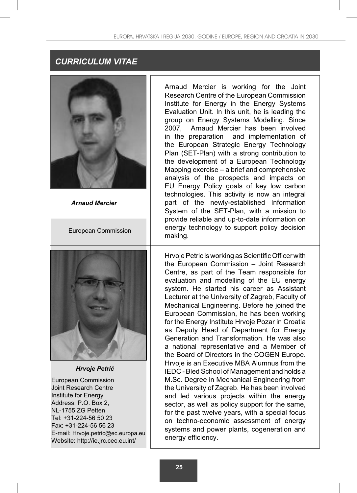# *CURRICULUM VITAE*



*Arnaud Mercier*

European Commission

Arnaud Mercier is working for the Joint Research Centre of the European Commission Institute for Energy in the Energy Systems Evaluation Unit. In this unit, he is leading the group on Energy Systems Modelling. Since 2007, Arnaud Mercier has been involved in the preparation and implementation of the European Strategic Energy Technology Plan (SET-Plan) with a strong contribution to the development of a European Technology Mapping exercise – a brief and comprehensive analysis of the prospects and impacts on EU Energy Policy goals of key low carbon technologies. This activity is now an integral part of the newly-established Information System of the SET-Plan, with a mission to provide reliable and up-to-date information on energy technology to support policy decision making.



*Hrvoje Petrić*

European Commission Joint Research Centre Institute for Energy Address: P.O. Box 2, NL-1755 ZG Petten Tel: +31-224-56 50 23 Fax: +31-224-56 56 23 E-mail: Hrvoje.petric@ec.europa.eu Website: http://ie.jrc.cec.eu.int/

Hrvoje Petric is working as Scientific Officer with the European Commission – Joint Research Centre, as part of the Team responsible for evaluation and modelling of the EU energy system. He started his career as Assistant Lecturer at the University of Zagreb, Faculty of Mechanical Engineering. Before he joined the European Commission, he has been working for the Energy Institute Hrvoje Pozar in Croatia as Deputy Head of Department for Energy Generation and Transformation. He was also a national representative and a Member of the Board of Directors in the COGEN Europe. Hrvoje is an Executive MBA Alumnus from the IEDC - Bled School of Management and holds a M.Sc. Degree in Mechanical Engineering from the University of Zagreb. He has been involved and led various projects within the energy sector, as well as policy support for the same, for the past twelve years, with a special focus on techno-economic assessment of energy systems and power plants, cogeneration and energy efficiency.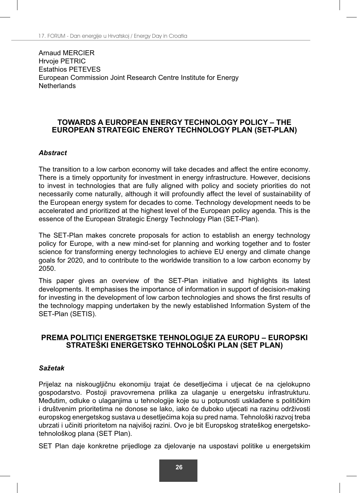Arnaud MERCIER Hrvoje PETRIC Estathios PETEVES European Commission Joint Research Centre Institute for Energy Netherlands

### **TOWARDS A EUROPEAN ENERGY TECHNOLOGY POLICY – THE EUROPEAN STRATEGIC ENERGY TECHNOLOGY PLAN (SET-PLAN)**

### *Abstract*

The transition to a low carbon economy will take decades and affect the entire economy. There is a timely opportunity for investment in energy infrastructure. However, decisions to invest in technologies that are fully aligned with policy and society priorities do not necessarily come naturally, although it will profoundly affect the level of sustainability of the European energy system for decades to come. Technology development needs to be accelerated and prioritized at the highest level of the European policy agenda. This is the essence of the European Strategic Energy Technology Plan (SET-Plan).

The SET-Plan makes concrete proposals for action to establish an energy technology policy for Europe, with a new mind-set for planning and working together and to foster science for transforming energy technologies to achieve EU energy and climate change goals for 2020, and to contribute to the worldwide transition to a low carbon economy by 2050.

This paper gives an overview of the SET-Plan initiative and highlights its latest developments. It emphasises the importance of information in support of decision-making for investing in the development of low carbon technologies and shows the first results of the technology mapping undertaken by the newly established Information System of the SET-Plan (SETIS).

### **PREMA POLITICI ENERGETSKE TEHNOLOGIJE ZA EUROPU – EUROPSKI STRATEŠKI ENERGETSKO TEHNOLOŠKI PLAN (SET PLAN)**

#### *Sažetak*

Prijelaz na niskougljičnu ekonomiju trajat će desetljećima i utjecat će na cjelokupno gospodarstvo. Postoji pravovremena prilika za ulaganje u energetsku infrastrukturu. Međutim, odluke o ulaganjima u tehnologije koje su u potpunosti usklađene s političkim i društvenim prioritetima ne donose se lako, iako će duboko utjecati na razinu održivosti europskog energetskog sustava u desetljećima koja su pred nama. Tehnološki razvoj treba ubrzati i učiniti prioritetom na najvišoj razini. Ovo je bit Europskog strateškog energetskotehnološkog plana (SET Plan).

SET Plan daje konkretne prijedloge za djelovanje na uspostavi politike u energetskim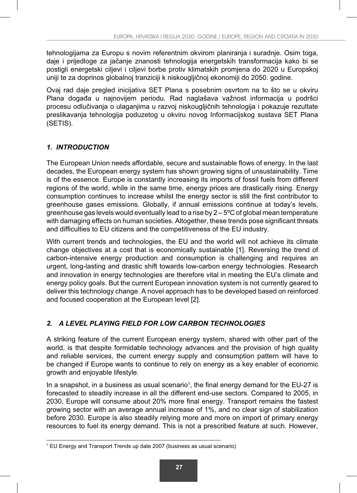tehnologijama za Europu s novim referentnim okvirom planiranja i suradnje. Osim toga, daje i prijedloge za jačanje znanosti tehnologija energetskih transformacija kako bi se postigli energetski ciljevi i ciljevi borbe protiv klimatskih promjena do 2020 u Europskoj uniji te za doprinos globalnoj tranziciji k niskougljičnoj ekonomiji do 2050. godine.

Ovaj rad daje pregled inicijativa SET Plana s posebnim osvrtom na to što se u okviru Plana događa u najnovijem periodu. Rad naglašava važnost informacija u podršci procesu odlučivanja o ulaganjima u razvoj niskougljičnih tehnologija i pokazuje rezultate preslikavanja tehnologija poduzetog u okviru novog Informacijskog sustava SET Plana (SETIS).

## *1. INTRODUCTION*

The European Union needs affordable, secure and sustainable flows of energy. In the last decades, the European energy system has shown growing signs of unsustainability. Time is of the essence. Europe is constantly increasing its imports of fossil fuels from different regions of the world, while in the same time, energy prices are drastically rising. Energy consumption continues to increase whilst the energy sector is still the first contributor to greenhouse gases emissions. Globally, if annual emissions continue at today's levels, greenhouse gas levels would eventually lead to a rise by 2 – 5ºC of global mean temperature with damaging effects on human societies. Altogether, these trends pose significant threats and difficulties to EU citizens and the competitiveness of the EU industry.

With current trends and technologies, the EU and the world will not achieve its climate change objectives at a cost that is economically sustainable [1]. Reversing the trend of carbon-intensive energy production and consumption is challenging and requires an urgent, long-lasting and drastic shift towards low-carbon energy technologies. Research and innovation in energy technologies are therefore vital in meeting the EU's climate and energy policy goals. But the current European innovation system is not currently geared to deliver this technology change. A novel approach has to be developed based on reinforced and focused cooperation at the European level [2].

## *2. A LEVEL PLAYING FIELD FOR LOW CARBON TECHNOLOGIES*

A striking feature of the current European energy system, shared with other part of the world, is that despite formidable technology advances and the provision of high quality and reliable services, the current energy supply and consumption pattern will have to be changed if Europe wants to continue to rely on energy as a key enabler of economic growth and enjoyable lifestyle.

In a snapshot, in a business as usual scenario<sup>1</sup>, the final energy demand for the EU-27 is forecasted to steadily increase in all the different end-use sectors. Compared to 2005, in 2030, Europe will consume about 20% more final energy. Transport remains the fastest growing sector with an average annual increase of 1%, and no clear sign of stabilization before 2030. Europe is also steadily relying more and more on import of primary energy resources to fuel its energy demand. This is not a prescribed feature at such. However,

<sup>1</sup> EU Energy and Transport Trends up date 2007 (business as usual scenario)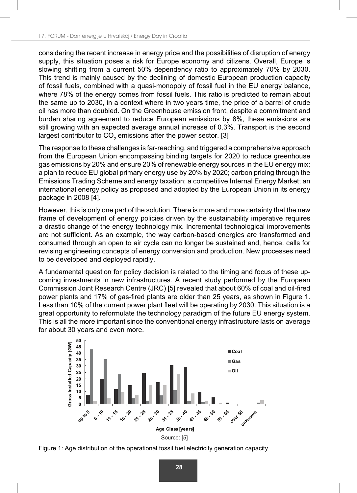considering the recent increase in energy price and the possibilities of disruption of energy supply, this situation poses a risk for Europe economy and citizens. Overall, Europe is slowing shifting from a current 50% dependency ratio to approximately 70% by 2030. This trend is mainly caused by the declining of domestic European production capacity of fossil fuels, combined with a quasi-monopoly of fossil fuel in the EU energy balance, where 78% of the energy comes from fossil fuels. This ratio is predicted to remain about the same up to 2030, in a context where in two years time, the price of a barrel of crude oil has more than doubled. On the Greenhouse emission front, despite a commitment and burden sharing agreement to reduce European emissions by 8%, these emissions are still growing with an expected average annual increase of 0.3%. Transport is the second largest contributor to CO $_{\textrm{\tiny{2}}}$  emissions after the power sector. [3]

The response to these challenges is far-reaching, and triggered a comprehensive approach from the European Union encompassing binding targets for 2020 to reduce greenhouse gas emissions by 20% and ensure 20% of renewable energy sources in the EU energy mix; a plan to reduce EU global primary energy use by 20% by 2020; carbon pricing through the Emissions Trading Scheme and energy taxation; a competitive Internal Energy Market; an international energy policy as proposed and adopted by the European Union in its energy package in 2008 [4].

However, this is only one part of the solution. There is more and more certainty that the new frame of development of energy policies driven by the sustainability imperative requires a drastic change of the energy technology mix. Incremental technological improvements are not sufficient. As an example, the way carbon-based energies are transformed and consumed through an open to air cycle can no longer be sustained and, hence, calls for revising engineering concepts of energy conversion and production. New processes need to be developed and deployed rapidly.

A fundamental question for policy decision is related to the timing and focus of these upcoming investments in new infrastructures. A recent study performed by the European Commission Joint Research Centre (JRC) [5] revealed that about 60% of coal and oil-fired power plants and 17% of gas-fired plants are older than 25 years, as shown in Figure 1. Less than 10% of the current power plant fleet will be operating by 2030. This situation is a great opportunity to reformulate the technology paradigm of the future EU energy system. This is all the more important since the conventional energy infrastructure lasts on average for about 30 years and even more.



Figure 1: Age distribution of the operational fossil fuel electricity generation capacity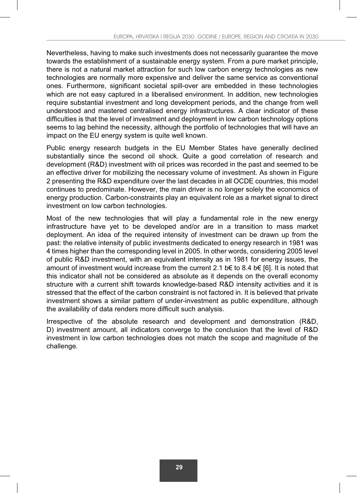Nevertheless, having to make such investments does not necessarily guarantee the move towards the establishment of a sustainable energy system. From a pure market principle, there is not a natural market attraction for such low carbon energy technologies as new technologies are normally more expensive and deliver the same service as conventional ones. Furthermore, significant societal spill-over are embedded in these technologies which are not easy captured in a liberalised environment. In addition, new technologies require substantial investment and long development periods, and the change from well understood and mastered centralised energy infrastructures. A clear indicator of these difficulties is that the level of investment and deployment in low carbon technology options seems to lag behind the necessity, although the portfolio of technologies that will have an impact on the EU energy system is quite well known.

Public energy research budgets in the EU Member States have generally declined substantially since the second oil shock. Quite a good correlation of research and development (R&D) investment with oil prices was recorded in the past and seemed to be an effective driver for mobilizing the necessary volume of investment. As shown in Figure 2 presenting the R&D expenditure over the last decades in all OCDE countries, this model continues to predominate. However, the main driver is no longer solely the economics of energy production. Carbon-constraints play an equivalent role as a market signal to direct investment on low carbon technologies.

Most of the new technologies that will play a fundamental role in the new energy infrastructure have yet to be developed and/or are in a transition to mass market deployment. An idea of the required intensity of investment can be drawn up from the past: the relative intensity of public investments dedicated to energy research in 1981 was 4 times higher than the corresponding level in 2005. In other words, considering 2005 level of public R&D investment, with an equivalent intensity as in 1981 for energy issues, the amount of investment would increase from the current 2.1 b€ to 8.4 b€ [6]. It is noted that this indicator shall not be considered as absolute as it depends on the overall economy structure with a current shift towards knowledge-based R&D intensity activities and it is stressed that the effect of the carbon constraint is not factored in. It is believed that private investment shows a similar pattern of under-investment as public expenditure, although the availability of data renders more difficult such analysis.

Irrespective of the absolute research and development and demonstration (R&D, D) investment amount, all indicators converge to the conclusion that the level of R&D investment in low carbon technologies does not match the scope and magnitude of the challenge.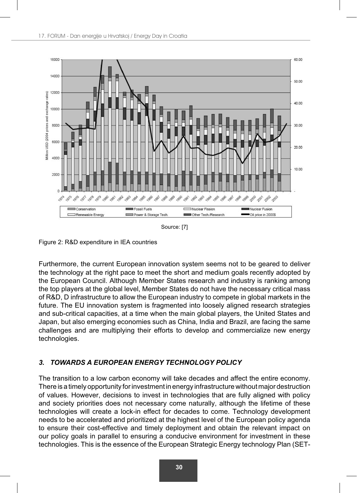

Source: [7]

Figure 2: R&D expenditure in IEA countries

Furthermore, the current European innovation system seems not to be geared to deliver the technology at the right pace to meet the short and medium goals recently adopted by the European Council. Although Member States research and industry is ranking among the top players at the global level, Member States do not have the necessary critical mass of R&D, D infrastructure to allow the European industry to compete in global markets in the future. The EU innovation system is fragmented into loosely aligned research strategies and sub-critical capacities, at a time when the main global players, the United States and Japan, but also emerging economies such as China, India and Brazil, are facing the same challenges and are multiplying their efforts to develop and commercialize new energy technologies.

## *3. TOWARDS A EUROPEAN ENERGY TECHNOLOGY POLICY*

The transition to a low carbon economy will take decades and affect the entire economy. There is a timely opportunity for investment in energy infrastructure without major destruction of values. However, decisions to invest in technologies that are fully aligned with policy and society priorities does not necessary come naturally, although the lifetime of these technologies will create a lock-in effect for decades to come. Technology development needs to be accelerated and prioritized at the highest level of the European policy agenda to ensure their cost-effective and timely deployment and obtain the relevant impact on our policy goals in parallel to ensuring a conducive environment for investment in these technologies. This is the essence of the European Strategic Energy technology Plan (SET-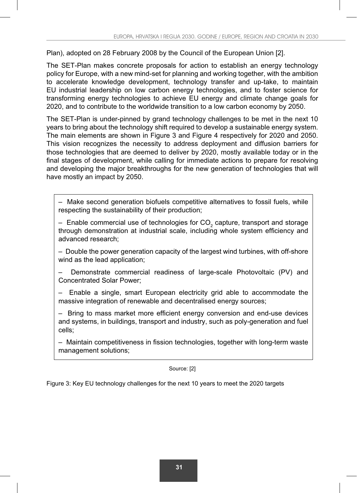Plan), adopted on 28 February 2008 by the Council of the European Union [2].

The SET-Plan makes concrete proposals for action to establish an energy technology policy for Europe, with a new mind-set for planning and working together, with the ambition to accelerate knowledge development, technology transfer and up-take, to maintain EU industrial leadership on low carbon energy technologies, and to foster science for transforming energy technologies to achieve EU energy and climate change goals for 2020, and to contribute to the worldwide transition to a low carbon economy by 2050.

The SET-Plan is under-pinned by grand technology challenges to be met in the next 10 years to bring about the technology shift required to develop a sustainable energy system. The main elements are shown in Figure 3 and Figure 4 respectively for 2020 and 2050. This vision recognizes the necessity to address deployment and diffusion barriers for those technologies that are deemed to deliver by 2020, mostly available today or in the final stages of development, while calling for immediate actions to prepare for resolving and developing the major breakthroughs for the new generation of technologies that will have mostly an impact by 2050.

– Make second generation biofuels competitive alternatives to fossil fuels, while respecting the sustainability of their production;

 $-$  Enable commercial use of technologies for CO<sub>2</sub> capture, transport and storage through demonstration at industrial scale, including whole system efficiency and advanced research;

– Double the power generation capacity of the largest wind turbines, with off-shore wind as the lead application;

– Demonstrate commercial readiness of large-scale Photovoltaic (PV) and Concentrated Solar Power;

– Enable a single, smart European electricity grid able to accommodate the massive integration of renewable and decentralised energy sources;

 $-$  Bring to mass market more efficient energy conversion and end-use devices and systems, in buildings, transport and industry, such as poly-generation and fuel cells;

– Maintain competitiveness in fission technologies, together with long-term waste management solutions;

Source: [2]

Figure 3: Key EU technology challenges for the next 10 years to meet the 2020 targets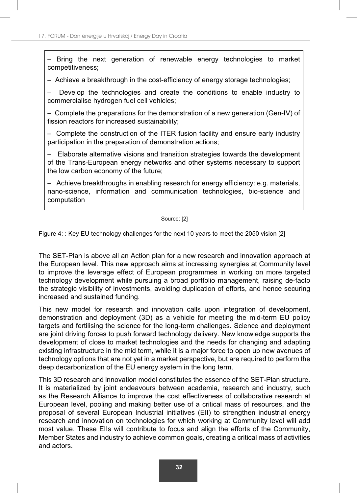– Bring the next generation of renewable energy technologies to market competitiveness;

 $-$  Achieve a breakthrough in the cost-efficiency of energy storage technologies;

– Develop the technologies and create the conditions to enable industry to commercialise hydrogen fuel cell vehicles;

– Complete the preparations for the demonstration of a new generation (Gen-IV) of fission reactors for increased sustainability;

– Complete the construction of the ITER fusion facility and ensure early industry participation in the preparation of demonstration actions;

– Elaborate alternative visions and transition strategies towards the development of the Trans-European energy networks and other systems necessary to support the low carbon economy of the future;

 $-$  Achieve breakthroughs in enabling research for energy efficiency: e.g. materials, nano-science, information and communication technologies, bio-science and computation

#### Source: [2]

Figure 4: : Key EU technology challenges for the next 10 years to meet the 2050 vision [2]

The SET-Plan is above all an Action plan for a new research and innovation approach at the European level. This new approach aims at increasing synergies at Community level to improve the leverage effect of European programmes in working on more targeted technology development while pursuing a broad portfolio management, raising de-facto the strategic visibility of investments, avoiding duplication of efforts, and hence securing increased and sustained funding.

This new model for research and innovation calls upon integration of development, demonstration and deployment (3D) as a vehicle for meeting the mid-term EU policy targets and fertilising the science for the long-term challenges. Science and deployment are joint driving forces to push forward technology delivery. New knowledge supports the development of close to market technologies and the needs for changing and adapting existing infrastructure in the mid term, while it is a major force to open up new avenues of technology options that are not yet in a market perspective, but are required to perform the deep decarbonization of the EU energy system in the long term.

This 3D research and innovation model constitutes the essence of the SET-Plan structure. It is materialized by joint endeavours between academia, research and industry, such as the Research Alliance to improve the cost effectiveness of collaborative research at European level, pooling and making better use of a critical mass of resources, and the proposal of several European Industrial initiatives (EII) to strengthen industrial energy research and innovation on technologies for which working at Community level will add most value. These EIIs will contribute to focus and align the efforts of the Community, Member States and industry to achieve common goals, creating a critical mass of activities and actors.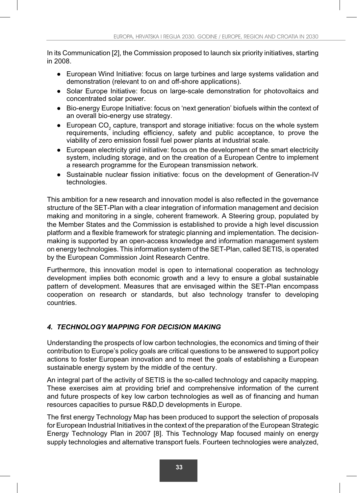In its Communication [2], the Commission proposed to launch six priority initiatives, starting in 2008.

- European Wind Initiative: focus on large turbines and large systems validation and demonstration (relevant to on and off-shore applications).
- Solar Europe Initiative: focus on large-scale demonstration for photovoltaics and concentrated solar power.
- Bio-energy Europe Initiative: focus on 'next generation' biofuels within the context of an overall bio-energy use strategy.
- European  $CO<sub>2</sub>$  capture, transport and storage initiative: focus on the whole system requirements, including efficiency, safety and public acceptance, to prove the viability of zero emission fossil fuel power plants at industrial scale.
- European electricity grid initiative: focus on the development of the smart electricity system, including storage, and on the creation of a European Centre to implement a research programme for the European transmission network.
- Sustainable nuclear fission initiative: focus on the development of Generation-IV technologies.

This ambition for a new research and innovation model is also reflected in the governance structure of the SET-Plan with a clear integration of information management and decision making and monitoring in a single, coherent framework. A Steering group, populated by the Member States and the Commission is established to provide a high level discussion platform and a flexible framework for strategic planning and implementation. The decisionmaking is supported by an open-access knowledge and information management system on energy technologies. This information system of the SET-Plan, called SETIS, is operated by the European Commission Joint Research Centre.

Furthermore, this innovation model is open to international cooperation as technology development implies both economic growth and a levy to ensure a global sustainable pattern of development. Measures that are envisaged within the SET-Plan encompass cooperation on research or standards, but also technology transfer to developing countries.

## *4. TECHNOLOGY MAPPING FOR DECISION MAKING*

Understanding the prospects of low carbon technologies, the economics and timing of their contribution to Europe's policy goals are critical questions to be answered to support policy actions to foster European innovation and to meet the goals of establishing a European sustainable energy system by the middle of the century.

An integral part of the activity of SETIS is the so-called technology and capacity mapping. These exercises aim at providing brief and comprehensive information of the current and future prospects of key low carbon technologies as well as of financing and human resources capacities to pursue R&D,D developments in Europe.

The first energy Technology Map has been produced to support the selection of proposals for European Industrial Initiatives in the context of the preparation of the European Strategic Energy Technology Plan in 2007 [8]. This Technology Map focused mainly on energy supply technologies and alternative transport fuels. Fourteen technologies were analyzed,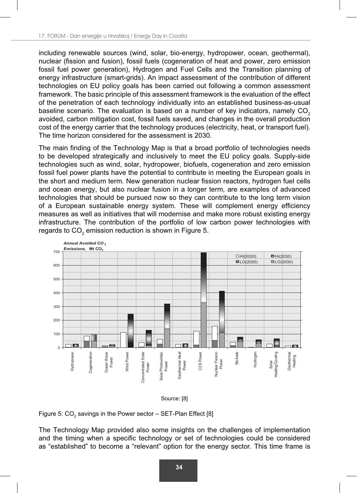including renewable sources (wind, solar, bio-energy, hydropower, ocean, geothermal), nuclear (fission and fusion), fossil fuels (cogeneration of heat and power, zero emission fossil fuel power generation), Hydrogen and Fuel Cells and the Transition planning of energy infrastructure (smart-grids). An impact assessment of the contribution of different technologies on EU policy goals has been carried out following a common assessment framework. The basic principle of this assessment framework is the evaluation of the effect of the penetration of each technology individually into an established business-as-usual baseline scenario. The evaluation is based on a number of key indicators, namely  $CO<sub>2</sub>$ avoided, carbon mitigation cost, fossil fuels saved, and changes in the overall production cost of the energy carrier that the technology produces (electricity, heat, or transport fuel). The time horizon considered for the assessment is 2030.

The main finding of the Technology Map is that a broad portfolio of technologies needs to be developed strategically and inclusively to meet the EU policy goals. Supply-side technologies such as wind, solar, hydropower, biofuels, cogeneration and zero emission fossil fuel power plants have the potential to contribute in meeting the European goals in the short and medium term. New generation nuclear fission reactors, hydrogen fuel cells and ocean energy, but also nuclear fusion in a longer term, are examples of advanced technologies that should be pursued now so they can contribute to the long term vision of a European sustainable energy system. These will complement energy efficiency measures as well as initiatives that will modernise and make more robust existing energy infrastructure. The contribution of the portfolio of low carbon power technologies with regards to CO $_2$  emission reduction is shown in Figure 5.







The Technology Map provided also some insights on the challenges of implementation and the timing when a specific technology or set of technologies could be considered as "established" to become a "relevant" option for the energy sector. This time frame is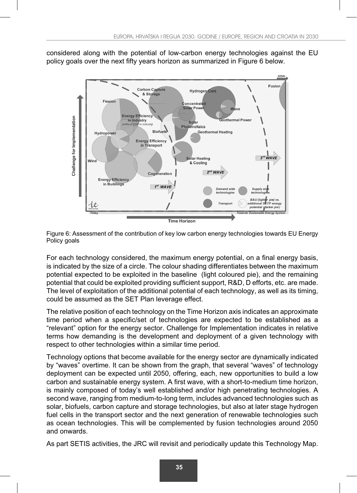considered along with the potential of low-carbon energy technologies against the EU policy goals over the next fifty years horizon as summarized in Figure 6 below.



Figure 6: Assessment of the contribution of key low carbon energy technologies towards EU Energy Policy goals

For each technology considered, the maximum energy potential, on a final energy basis, is indicated by the size of a circle. The colour shading differentiates between the maximum potential expected to be exploited in the baseline (light coloured pie), and the remaining potential that could be exploited providing sufficient support, R&D, D efforts, etc. are made. The level of exploitation of the additional potential of each technology, as well as its timing, could be assumed as the SET Plan leverage effect.

The relative position of each technology on the Time Horizon axis indicates an approximate time period when a specific/set of technologies are expected to be established as a "relevant" option for the energy sector. Challenge for Implementation indicates in relative terms how demanding is the development and deployment of a given technology with respect to other technologies within a similar time period.

Technology options that become available for the energy sector are dynamically indicated by "waves" overtime. It can be shown from the graph, that several "waves" of technology deployment can be expected until 2050, offering, each, new opportunities to build a low carbon and sustainable energy system. A first wave, with a short-to-medium time horizon, is mainly composed of today's well established and/or high penetrating technologies. A second wave, ranging from medium-to-long term, includes advanced technologies such as solar, biofuels, carbon capture and storage technologies, but also at later stage hydrogen fuel cells in the transport sector and the next generation of renewable technologies such as ocean technologies. This will be complemented by fusion technologies around 2050 and onwards.

As part SETIS activities, the JRC will revisit and periodically update this Technology Map.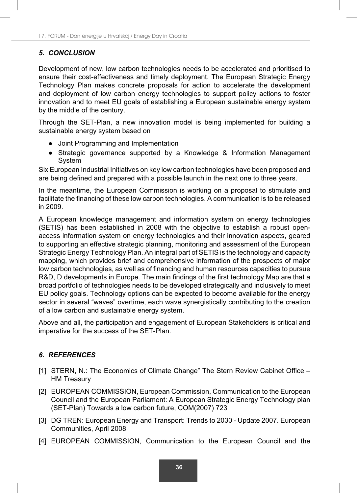## *5. CONCLUSION*

Development of new, low carbon technologies needs to be accelerated and prioritised to ensure their cost-effectiveness and timely deployment. The European Strategic Energy Technology Plan makes concrete proposals for action to accelerate the development and deployment of low carbon energy technologies to support policy actions to foster innovation and to meet EU goals of establishing a European sustainable energy system by the middle of the century.

Through the SET-Plan, a new innovation model is being implemented for building a sustainable energy system based on

- Joint Programming and Implementation
- Strategic governance supported by a Knowledge & Information Management System

Six European Industrial Initiatives on key low carbon technologies have been proposed and are being defined and prepared with a possible launch in the next one to three years.

In the meantime, the European Commission is working on a proposal to stimulate and facilitate the financing of these low carbon technologies. A communication is to be released in 2009.

A European knowledge management and information system on energy technologies (SETIS) has been established in 2008 with the objective to establish a robust openaccess information system on energy technologies and their innovation aspects, geared to supporting an effective strategic planning, monitoring and assessment of the European Strategic Energy Technology Plan. An integral part of SETIS is the technology and capacity mapping, which provides brief and comprehensive information of the prospects of major low carbon technologies, as well as of financing and human resources capacities to pursue R&D, D developments in Europe. The main findings of the first technology Map are that a broad portfolio of technologies needs to be developed strategically and inclusively to meet EU policy goals. Technology options can be expected to become available for the energy sector in several "waves" overtime, each wave synergistically contributing to the creation of a low carbon and sustainable energy system.

Above and all, the participation and engagement of European Stakeholders is critical and imperative for the success of the SET-Plan.

## *6. REFERENCES*

- [1] STERN, N.: The Economics of Climate Change" The Stern Review Cabinet Office HM Treasury
- [2] EUROPEAN COMMISSION, European Commission, Communication to the European Council and the European Parliament: A European Strategic Energy Technology plan (SET-Plan) Towards a low carbon future, COM(2007) 723
- [3] DG TREN: European Energy and Transport: Trends to 2030 Update 2007. European Communities, April 2008
- [4] EUROPEAN COMMISSION, Communication to the European Council and the